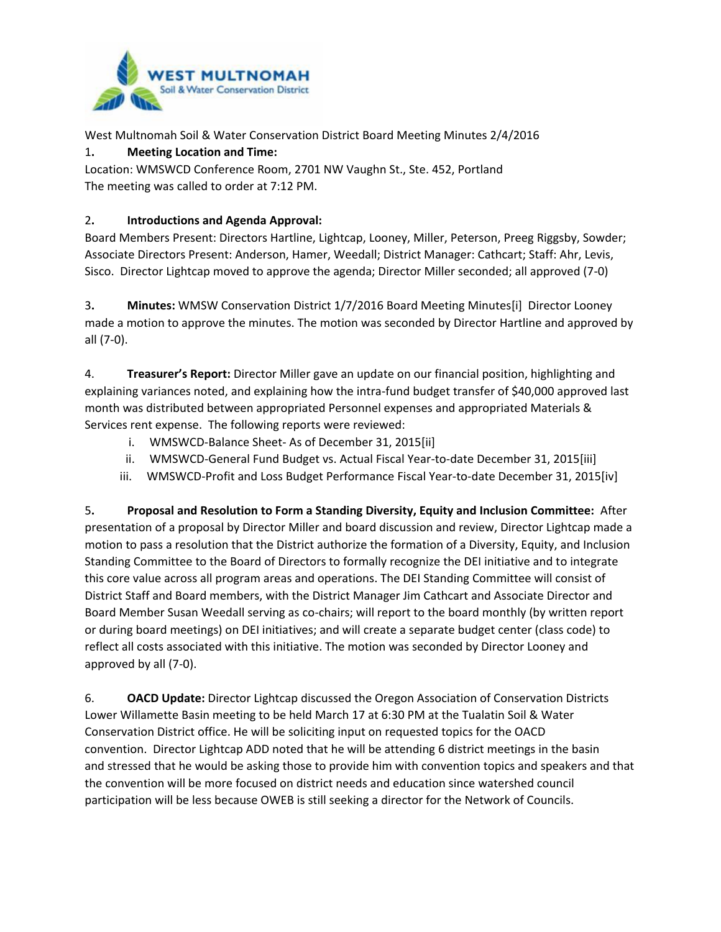

West Multnomah Soil & Water Conservation District Board Meeting Minutes 2/4/2016

1**. Meeting Location and Time:**

Location: WMSWCD Conference Room, 2701 NW Vaughn St., Ste. 452, Portland The meeting was called to order at 7:12 PM.

## 2**. Introductions and Agenda Approval:**

Board Members Present: Directors Hartline, Lightcap, Looney, Miller, Peterson, Preeg Riggsby, Sowder; Associate Directors Present: Anderson, Hamer, Weedall; District Manager: Cathcart; Staff: Ahr, Levis, Sisco. Director Lightcap moved to approve the agenda; Director Miller seconded; all approved (7-0)

3**. Minutes:** WMSW Conservation District 1/7/2016 Board Meeting Minutes[i] Director Looney made a motion to approve the minutes. The motion was seconded by Director Hartline and approved by all (7-0).

4. **Treasurer's Report:** Director Miller gave an update on our financial position, highlighting and explaining variances noted, and explaining how the intra-fund budget transfer of \$40,000 approved last month was distributed between appropriated Personnel expenses and appropriated Materials & Services rent expense. The following reports were reviewed:

- <span id="page-0-0"></span>i. WMSWCD-Balance Sheet- As of December 31, 2015[ii]
- ii. WMSWCD-General Fund Budget vs. Actual Fiscal Year-to-date December 31, 2015[iii]
- iii. WMSWCD-Profit and Loss Budget Performance Fiscal Year-to-date December 31, 2015[iv]

5**. Proposal and Resolution to Form a Standing Diversity, Equity and Inclusion Committee:** After presentation of a proposal by Director Miller and board discussion and review, Director Lightcap made a motion to pass a resolution that the District authorize the formation of a Diversity, Equity, and Inclusion Standing Committee to the Board of Directors to formally recognize the DEI initiative and to integrate this core value across all program areas and operations. The DEI Standing Committee will consist of District Staff and Board members, with the District Manager Jim Cathcart and Associate Director and Board Member Susan Weedall serving as co-chairs; will report to the board monthly (by written report or during board meetings) on DEI initiatives; and will create a separate budget center (class code) to reflect all costs associated with this initiative. The motion was seconded by Director Looney and approved by all (7-0).

6. **OACD Update:** Director Lightcap discussed the Oregon Association of Conservation Districts Lower Willamette Basin meeting to be held March 17 at 6:30 PM at the Tualatin Soil & Water Conservation District office. He will be soliciting input on requested topics for the OACD convention. Director Lightcap ADD noted that he will be attending 6 district meetings in the basin and stressed that he would be asking those to provide him with convention topics and speakers and that the convention will be more focused on district needs and education since watershed council participation will be less because OWEB is still seeking a director for the Network of Councils.